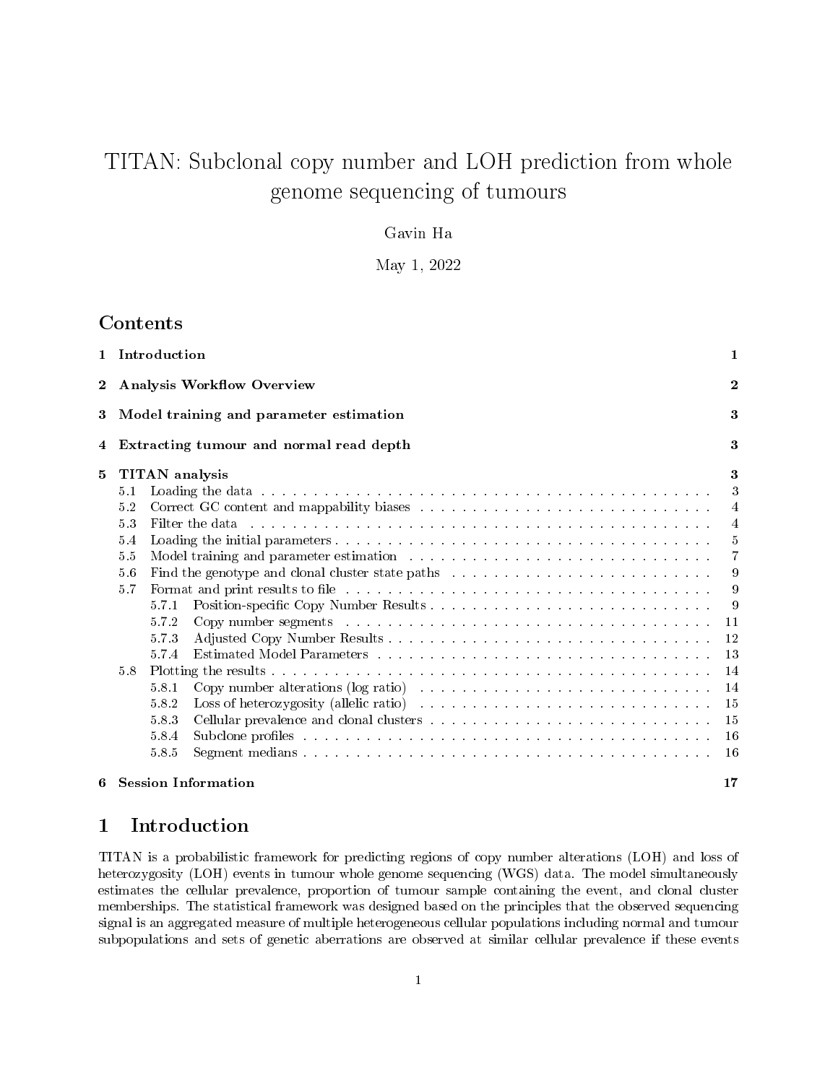# TITAN: Subclonal copy number and LOH prediction from whole genome sequencing of tumours

### Gavin Ha

### May 1, 2022

# Contents

|                                                                                                                                                                                                                                                |                                   | 1 Introduction        |                                                                                                                                                                                                                                | $\mathbf{1}$   |  |  |  |       |                                                                                                                                                                                                                                |          |
|------------------------------------------------------------------------------------------------------------------------------------------------------------------------------------------------------------------------------------------------|-----------------------------------|-----------------------|--------------------------------------------------------------------------------------------------------------------------------------------------------------------------------------------------------------------------------|----------------|--|--|--|-------|--------------------------------------------------------------------------------------------------------------------------------------------------------------------------------------------------------------------------------|----------|
| $\mathbf 2$                                                                                                                                                                                                                                    | <b>Analysis Workflow Overview</b> |                       |                                                                                                                                                                                                                                |                |  |  |  |       |                                                                                                                                                                                                                                |          |
| 3                                                                                                                                                                                                                                              |                                   |                       | Model training and parameter estimation                                                                                                                                                                                        | 3              |  |  |  |       |                                                                                                                                                                                                                                |          |
| 4                                                                                                                                                                                                                                              |                                   |                       | Extracting tumour and normal read depth                                                                                                                                                                                        | 3              |  |  |  |       |                                                                                                                                                                                                                                |          |
| 5                                                                                                                                                                                                                                              |                                   | <b>TITAN</b> analysis |                                                                                                                                                                                                                                | 3              |  |  |  |       |                                                                                                                                                                                                                                |          |
|                                                                                                                                                                                                                                                | 5.1                               |                       | Loading the data response to the contract of the contract of the contract of the contract of the contract of the contract of the contract of the contract of the contract of the contract of the contract of the contract of t | 3              |  |  |  |       |                                                                                                                                                                                                                                |          |
|                                                                                                                                                                                                                                                | 5.2                               |                       |                                                                                                                                                                                                                                | $\overline{4}$ |  |  |  |       |                                                                                                                                                                                                                                |          |
|                                                                                                                                                                                                                                                | 5.3                               |                       | Filter the data response to a construction of the contract of the construction of the construction of the construction of the construction of the construction of the construction of the construction of the construction of  | $\overline{4}$ |  |  |  |       |                                                                                                                                                                                                                                |          |
|                                                                                                                                                                                                                                                | 5.4                               |                       |                                                                                                                                                                                                                                | -5             |  |  |  |       |                                                                                                                                                                                                                                |          |
|                                                                                                                                                                                                                                                | 5.5                               |                       | Model training and parameter estimation with the state of the state of the state of the state of the state of the state of the state of the state of the state of the state of the state of the state of the state of the stat | $\overline{7}$ |  |  |  |       |                                                                                                                                                                                                                                |          |
|                                                                                                                                                                                                                                                | 5.6                               |                       |                                                                                                                                                                                                                                | 9              |  |  |  |       |                                                                                                                                                                                                                                |          |
| Format and print results to file the state of the state of the state of the state of the state of the state of the state of the state of the state of the state of the state of the state of the state of the state of the sta<br>5.7<br>5.7.1 |                                   |                       |                                                                                                                                                                                                                                |                |  |  |  |       |                                                                                                                                                                                                                                |          |
|                                                                                                                                                                                                                                                |                                   |                       |                                                                                                                                                                                                                                |                |  |  |  | 5.7.2 | Copy number segments and contained and contained and contained and contained and contained and contained and contained and contained and contained and contained and contained and contained and contained and contained and c | -9<br>11 |
|                                                                                                                                                                                                                                                |                                   | 5.73                  |                                                                                                                                                                                                                                | 12             |  |  |  |       |                                                                                                                                                                                                                                |          |
|                                                                                                                                                                                                                                                |                                   | 5.7.4                 |                                                                                                                                                                                                                                | 13             |  |  |  |       |                                                                                                                                                                                                                                |          |
|                                                                                                                                                                                                                                                | 5.8                               |                       |                                                                                                                                                                                                                                |                |  |  |  |       |                                                                                                                                                                                                                                |          |
|                                                                                                                                                                                                                                                |                                   | 5.8.1                 | Copy number alterations (log ratio) $\ldots \ldots \ldots \ldots \ldots \ldots \ldots \ldots \ldots \ldots \ldots$                                                                                                             | 14<br>14       |  |  |  |       |                                                                                                                                                                                                                                |          |
|                                                                                                                                                                                                                                                |                                   | 5.8.2                 |                                                                                                                                                                                                                                | -15            |  |  |  |       |                                                                                                                                                                                                                                |          |
|                                                                                                                                                                                                                                                |                                   | 5.8.3                 |                                                                                                                                                                                                                                | 15             |  |  |  |       |                                                                                                                                                                                                                                |          |
|                                                                                                                                                                                                                                                |                                   | 5.8.4                 | Subclone profiles that is a contracted in the contracted in the contracted in the contracted in the contracted in the contracted in the contracted in the contracted in the contracted in the contracted in the contracted in  | 16             |  |  |  |       |                                                                                                                                                                                                                                |          |
|                                                                                                                                                                                                                                                |                                   | 5.8.5                 |                                                                                                                                                                                                                                | 16             |  |  |  |       |                                                                                                                                                                                                                                |          |
| 6                                                                                                                                                                                                                                              |                                   |                       | <b>Session Information</b>                                                                                                                                                                                                     | 17             |  |  |  |       |                                                                                                                                                                                                                                |          |

# 1 Introduction

TITAN is a probabilistic framework for predicting regions of copy number alterations (LOH) and loss of heterozygosity (LOH) events in tumour whole genome sequencing (WGS) data. The model simultaneously estimates the cellular prevalence, proportion of tumour sample containing the event, and clonal cluster memberships. The statistical framework was designed based on the principles that the observed sequencing signal is an aggregated measure of multiple heterogeneous cellular populations including normal and tumour subpopulations and sets of genetic aberrations are observed at similar cellular prevalence if these events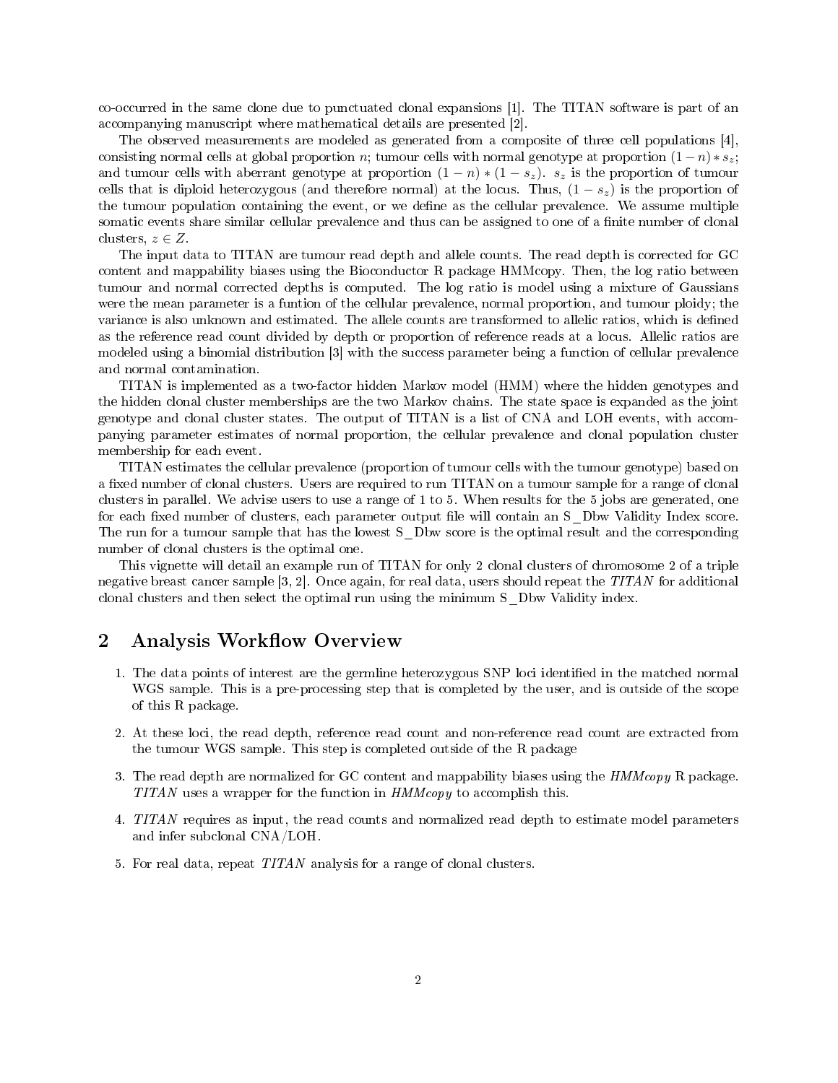co-occurred in the same clone due to punctuated clonal expansions [1]. The TITAN software is part of an accompanying manuscript where mathematical details are presented [2].

The observed measurements are modeled as generated from a composite of three cell populations [4], consisting normal cells at global proportion n; tumour cells with normal genotype at proportion  $(1-n)*s_z$ ; and tumour cells with aberrant genotype at proportion  $(1 - n) * (1 - s_z)$ .  $s_z$  is the proportion of tumour cells that is diploid heterozygous (and therefore normal) at the locus. Thus,  $(1 - s<sub>z</sub>)$  is the proportion of the tumour population containing the event, or we define as the cellular prevalence. We assume multiple somatic events share similar cellular prevalence and thus can be assigned to one of a finite number of clonal clusters,  $z \in Z$ .

The input data to TITAN are tumour read depth and allele counts. The read depth is corrected for GC content and mappability biases using the Bioconductor R package HMMcopy. Then, the log ratio between tumour and normal corrected depths is computed. The log ratio is model using a mixture of Gaussians were the mean parameter is a funtion of the cellular prevalence, normal proportion, and tumour ploidy; the variance is also unknown and estimated. The allele counts are transformed to allelic ratios, which is defined as the reference read count divided by depth or proportion of reference reads at a locus. Allelic ratios are modeled using a binomial distribution [3] with the success parameter being a function of cellular prevalence and normal contamination.

TITAN is implemented as a two-factor hidden Markov model (HMM) where the hidden genotypes and the hidden clonal cluster memberships are the two Markov chains. The state space is expanded as the joint genotype and clonal cluster states. The output of TITAN is a list of CNA and LOH events, with accompanying parameter estimates of normal proportion, the cellular prevalence and clonal population cluster membership for each event.

TITAN estimates the cellular prevalence (proportion of tumour cells with the tumour genotype) based on a fixed number of clonal clusters. Users are required to run TITAN on a tumour sample for a range of clonal clusters in parallel. We advise users to use a range of 1 to 5. When results for the 5 jobs are generated, one for each fixed number of clusters, each parameter output file will contain an S\_Dbw Validity Index score. The run for a tumour sample that has the lowest S\_Dbw score is the optimal result and the corresponding number of clonal clusters is the optimal one.

This vignette will detail an example run of TITAN for only 2 clonal clusters of chromosome 2 of a triple negative breast cancer sample [3, 2]. Once again, for real data, users should repeat the TITAN for additional clonal clusters and then select the optimal run using the minimum S\_Dbw Validity index.

# 2 Analysis Workflow Overview

- 1. The data points of interest are the germline heterozygous SNP loci identified in the matched normal WGS sample. This is a pre-processing step that is completed by the user, and is outside of the scope of this R package.
- 2. At these loci, the read depth, reference read count and non-reference read count are extracted from the tumour WGS sample. This step is completed outside of the R package
- 3. The read depth are normalized for GC content and mappability biases using the HMMcopy R package. TITAN uses a wrapper for the function in  $HMMcopy$  to accomplish this.
- 4. TITAN requires as input, the read counts and normalized read depth to estimate model parameters and infer subclonal CNA/LOH.
- 5. For real data, repeat TITAN analysis for a range of clonal clusters.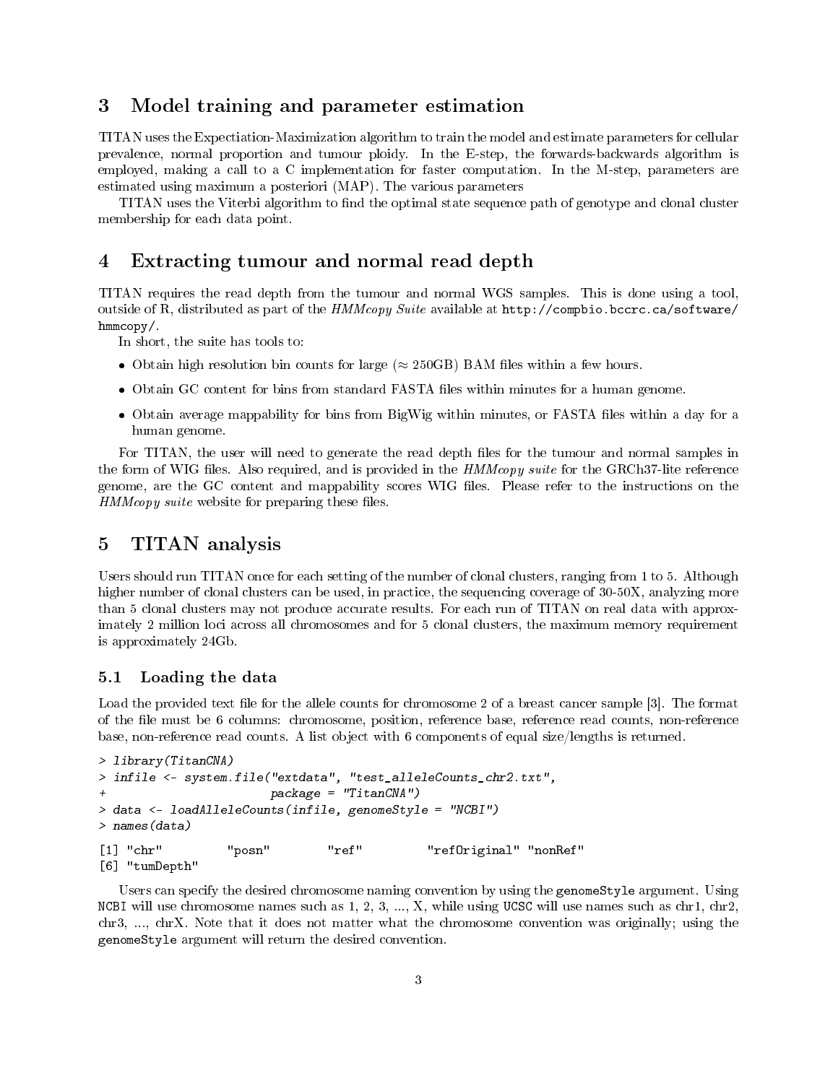# 3 Model training and parameter estimation

TITAN uses the Expectiation-Maximization algorithm to train the model and estimate parameters for cellular prevalence, normal proportion and tumour ploidy. In the E-step, the forwards-backwards algorithm is employed, making a call to a C implementation for faster computation. In the M-step, parameters are estimated using maximum a posteriori (MAP). The various parameters

TITAN uses the Viterbi algorithm to find the optimal state sequence path of genotype and clonal cluster membership for each data point.

### 4 Extracting tumour and normal read depth

TITAN requires the read depth from the tumour and normal WGS samples. This is done using a tool, outside of R, distributed as part of the HMMcopy Suite available at http://compbio.bccrc.ca/software/ hmmcopy/.

In short, the suite has tools to:

- Obtain high resolution bin counts for large ( $\approx$  250GB) BAM files within a few hours.
- Obtain GC content for bins from standard FASTA files within minutes for a human genome.
- Obtain average mappability for bins from BigWig within minutes, or FASTA files within a day for a human genome.

For TITAN, the user will need to generate the read depth files for the tumour and normal samples in the form of WIG files. Also required, and is provided in the *HMMcopy suite* for the GRCh37-lite reference genome, are the GC content and mappability scores WIG files. Please refer to the instructions on the  $HMMcopy\ suite$  website for preparing these files.

### 5 TITAN analysis

Users should run TITAN once for each setting of the number of clonal clusters, ranging from 1 to 5. Although higher number of clonal clusters can be used, in practice, the sequencing coverage of 30-50X, analyzing more than 5 clonal clusters may not produce accurate results. For each run of TITAN on real data with approximately 2 million loci across all chromosomes and for 5 clonal clusters, the maximum memory requirement is approximately 24Gb.

#### 5.1 Loading the data

Load the provided text file for the allele counts for chromosome 2 of a breast cancer sample [3]. The format of the le must be 6 columns: chromosome, position, reference base, reference read counts, non-reference base, non-reference read counts. A list object with 6 components of equal size/lengths is returned.

```
> library(TitanCNA)
> infile <- system.file("extdata", "test_alleleCounts_chr2.txt",
                      package = "TitanCNA")> data <- loadAlleleCounts(infile, genomeStyle = "NCBI")
> names(data)
[1] "chr" "posn" "ref" "refOriginal" "nonRef"
[6] "tumDepth"
```
Users can specify the desired chromosome naming convention by using the genomeStyle argument. Using NCBI will use chromosome names such as  $1, 2, 3, ..., X$ , while using UCSC will use names such as chr1, chr2, chr3, ..., chrX. Note that it does not matter what the chromosome convention was originally; using the genomeStyle argument will return the desired convention.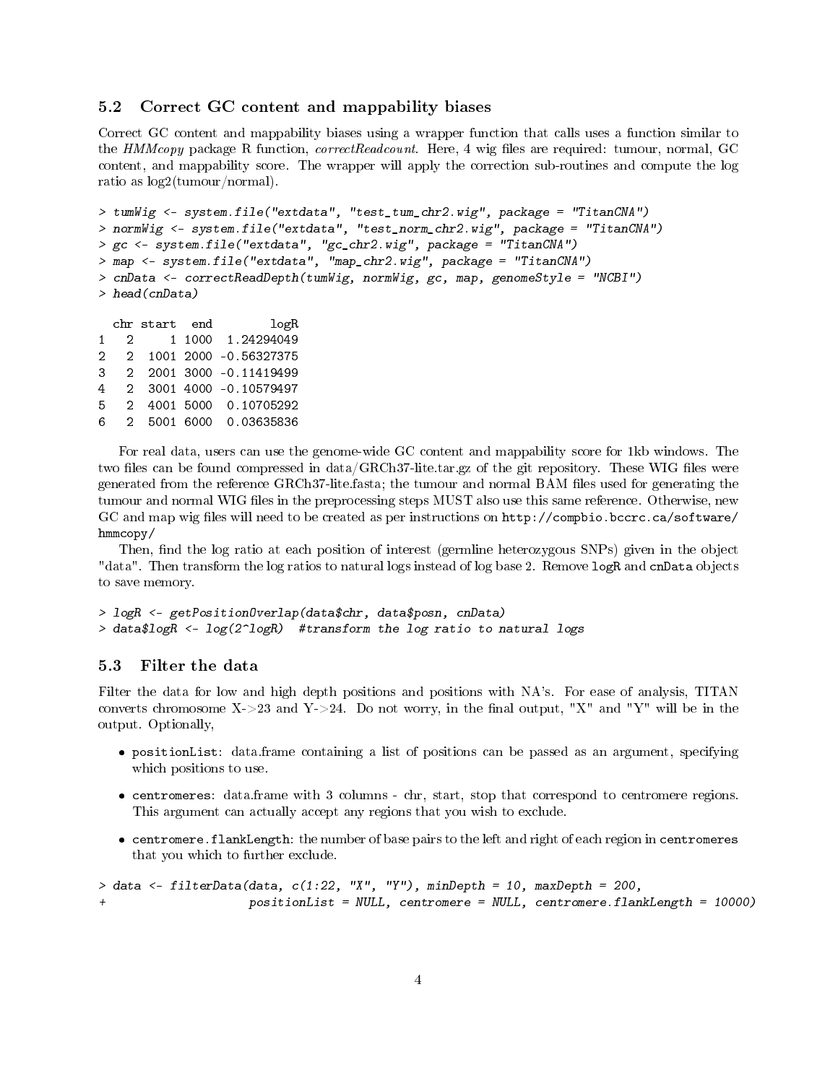#### 5.2 Correct GC content and mappability biases

Correct GC content and mappability biases using a wrapper function that calls uses a function similar to the HMMcopy package R function, correctReadcount. Here, 4 wig files are required: tumour, normal, GC content, and mappability score. The wrapper will apply the correction sub-routines and compute the log ratio as log2(tumour/normal).

```
> tumWig <- system.file("extdata", "test_tum_chr2.wig", package = "TitanCNA")
> normWig <- system.file("extdata", "test_norm_chr2.wig", package = "TitanCNA")
> gc <- system.file("extdata", "gc_chr2.wig", package = "TitanCNA")
> map <- system.file("extdata", "map_chr2.wig", package = "TitanCNA")
> cnData <- correctReadDepth(tumWig, normWig, gc, map, genomeStyle = "NCBI")
> head(cnData)
 chr start end logR
```
1 2 1 1000 1.24294049 2 2 1001 2000 -0.56327375 3 2 2001 3000 -0.11419499 4 2 3001 4000 -0.10579497 5 2 4001 5000 0.10705292 6 2 5001 6000 0.03635836

For real data, users can use the genome-wide GC content and mappability score for 1kb windows. The two files can be found compressed in  $data/GRCh37$ -lite.tar.gz of the git repository. These WIG files were generated from the reference GRCh37-lite.fasta; the tumour and normal BAM les used for generating the tumour and normal WIG files in the preprocessing steps MUST also use this same reference. Otherwise, new GC and map wig files will need to be created as per instructions on http://compbio.bccrc.ca/software/ hmmcopy/

Then, find the log ratio at each position of interest (germline heterozygous SNPs) given in the object "data". Then transform the log ratios to natural logs instead of log base 2. Remove logR and cnData objects to save memory.

```
> logR <- getPositionOverlap(data$chr, data$posn, cnData)
> data$logR <- log(2^logR) #transform the log ratio to natural logs
```
#### 5.3 Filter the data

Filter the data for low and high depth positions and positions with NA's. For ease of analysis, TITAN converts chromosome X->23 and Y->24. Do not worry, in the final output, "X" and "Y" will be in the output. Optionally,

- positionList: data.frame containing a list of positions can be passed as an argument, specifying which positions to use.
- centromeres: data.frame with 3 columns chr, start, stop that correspond to centromere regions. This argument can actually accept any regions that you wish to exclude.
- centromere.flankLength: the number of base pairs to the left and right of each region in centromeres that you which to further exclude.

```
> data <- filterData(data, c(1:22, "X", "Y"), minDepth = 10, maxDepth = 200,positionList = NULL, centromere = NULL, centromere.flankLength = 10000)
```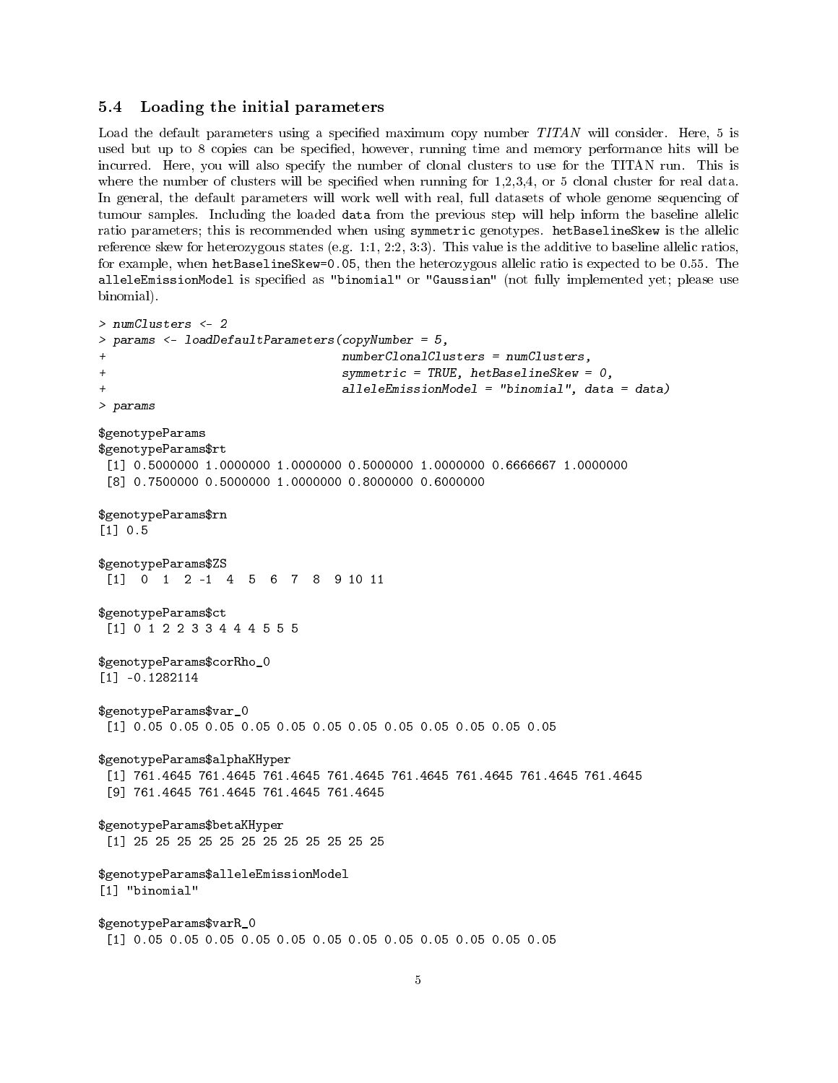#### 5.4 Loading the initial parameters

Load the default parameters using a specified maximum copy number  $TITAN$  will consider. Here, 5 is used but up to 8 copies can be specified, however, running time and memory performance hits will be incurred. Here, you will also specify the number of clonal clusters to use for the TITAN run. This is where the number of clusters will be specified when running for  $1,2,3,4$ , or 5 clonal cluster for real data. In general, the default parameters will work well with real, full datasets of whole genome sequencing of tumour samples. Including the loaded data from the previous step will help inform the baseline allelic ratio parameters; this is recommended when using symmetric genotypes. hetBaselineSkew is the allelic reference skew for heterozygous states (e.g. 1:1, 2:2, 3:3). This value is the additive to baseline allelic ratios, for example, when hetBaselineSkew=0.05, then the heterozygous allelic ratio is expected to be 0.55. The alleleEmissionModel is specified as "binomial" or "Gaussian" (not fully implemented yet; please use binomial).

```
> numClusters <- 2
> params <- loadDefaultParameters(copyNumber = 5,
                                 numberClonalClusters = numClusters,+ symmetric = TRUE, hetBaselineSkew = 0,
                                 alleleEmissionModel = "binomial", data = data)
> params
$genotypeParams
$genotypeParams$rt
[1] 0.5000000 1.0000000 1.0000000 0.5000000 1.0000000 0.6666667 1.0000000
 [8] 0.7500000 0.5000000 1.0000000 0.8000000 0.6000000
$genotypeParams$rn
[1] 0.5
$genotypeParams$ZS
[1] 0 1 2 -1 4 5 6 7 8 9 10 11
$genotypeParams$ct
[1] 0 1 2 2 3 3 4 4 4 5 5 5
$genotypeParams$corRho_0
[1] -0.1282114
$genotypeParams$var_0
[1] 0.05 0.05 0.05 0.05 0.05 0.05 0.05 0.05 0.05 0.05 0.05 0.05
$genotypeParams$alphaKHyper
[1] 761.4645 761.4645 761.4645 761.4645 761.4645 761.4645 761.4645 761.4645
 [9] 761.4645 761.4645 761.4645 761.4645
$genotypeParams$betaKHyper
[1] 25 25 25 25 25 25 25 25 25 25 25 25
$genotypeParams$alleleEmissionModel
[1] "binomial"
$genotypeParams$varR_0
 [1] 0.05 0.05 0.05 0.05 0.05 0.05 0.05 0.05 0.05 0.05 0.05 0.05
```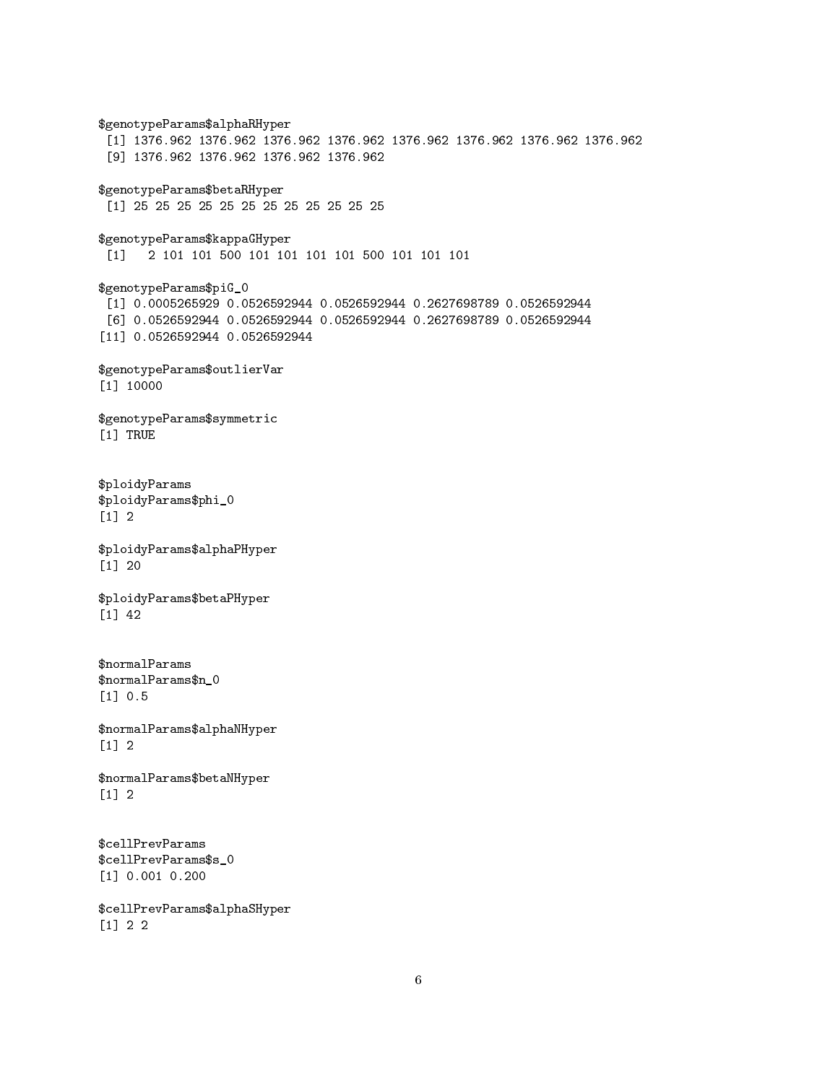\$genotypeParams\$alphaRHyper [1] 1376.962 1376.962 1376.962 1376.962 1376.962 1376.962 1376.962 1376.962 [9] 1376.962 1376.962 1376.962 1376.962 \$genotypeParams\$betaRHyper [1] 25 25 25 25 25 25 25 25 25 25 25 25 \$genotypeParams\$kappaGHyper [1] 2 101 101 500 101 101 101 101 500 101 101 101 \$genotypeParams\$piG\_0 [1] 0.0005265929 0.0526592944 0.0526592944 0.2627698789 0.0526592944 [6] 0.0526592944 0.0526592944 0.0526592944 0.2627698789 0.0526592944 [11] 0.0526592944 0.0526592944 \$genotypeParams\$outlierVar [1] 10000 \$genotypeParams\$symmetric [1] TRUE \$ploidyParams \$ploidyParams\$phi\_0  $\lceil 1 \rceil$  2 \$ploidyParams\$alphaPHyper [1] 20 \$ploidyParams\$betaPHyper [1] 42 \$normalParams \$normalParams\$n\_0 [1] 0.5 \$normalParams\$alphaNHyper [1] 2 \$normalParams\$betaNHyper  $\lceil 1 \rceil$  2 \$cellPrevParams \$cellPrevParams\$s\_0 [1] 0.001 0.200 \$cellPrevParams\$alphaSHyper [1] 2 2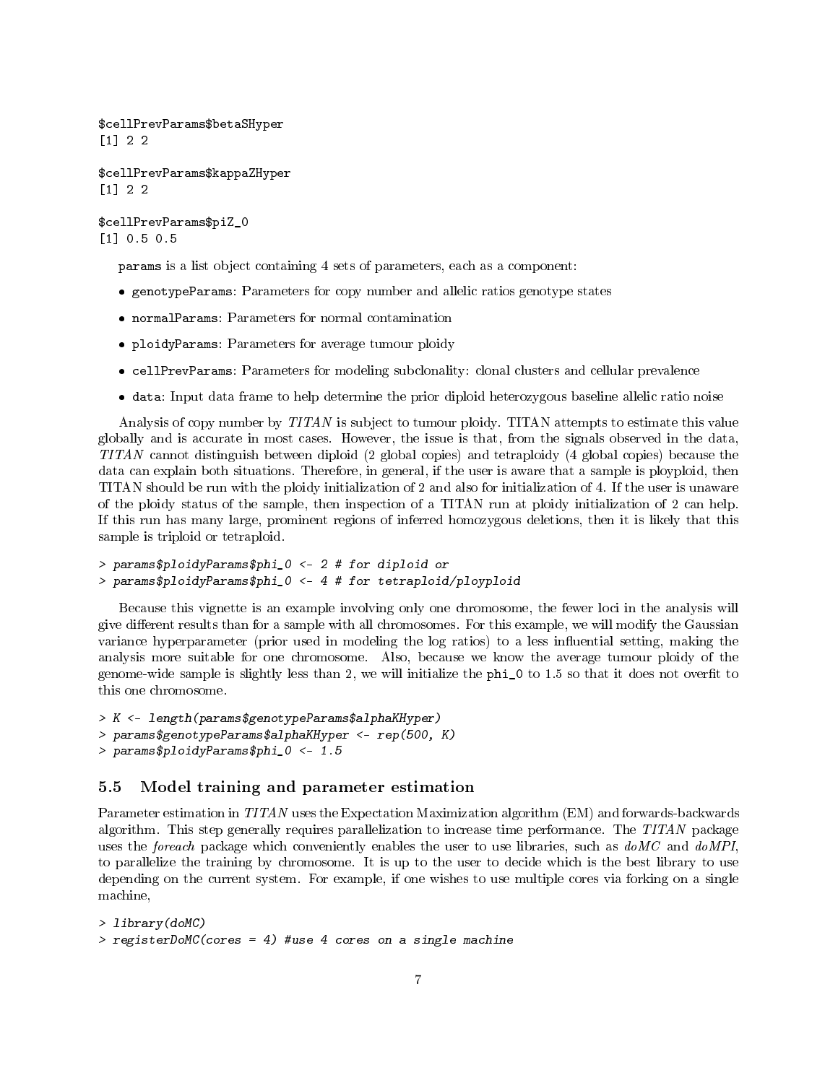\$cellPrevParams\$betaSHyper [1] 2 2

\$cellPrevParams\$kappaZHyper [1] 2 2

\$cellPrevParams\$piZ\_0 [1] 0.5 0.5

params is a list object containing 4 sets of parameters, each as a component:

- genotypeParams: Parameters for copy number and allelic ratios genotype states
- normalParams: Parameters for normal contamination
- ploidyParams: Parameters for average tumour ploidy
- cellPrevParams: Parameters for modeling subclonality: clonal clusters and cellular prevalence
- data: Input data frame to help determine the prior diploid heterozygous baseline allelic ratio noise

Analysis of copy number by TITAN is subject to tumour ploidy. TITAN attempts to estimate this value globally and is accurate in most cases. However, the issue is that, from the signals observed in the data, TITAN cannot distinguish between diploid (2 global copies) and tetraploidy (4 global copies) because the data can explain both situations. Therefore, in general, if the user is aware that a sample is ployploid, then TITAN should be run with the ploidy initialization of 2 and also for initialization of 4. If the user is unaware of the ploidy status of the sample, then inspection of a TITAN run at ploidy initialization of 2 can help. If this run has many large, prominent regions of inferred homozygous deletions, then it is likely that this sample is triploid or tetraploid.

```
> params$ploidyParams$phi_0 <- 2 # for diploid or
> params$ploidyParams$phi_0 <- 4 # for tetraploid/ployploid
```
Because this vignette is an example involving only one chromosome, the fewer loci in the analysis will give different results than for a sample with all chromosomes. For this example, we will modify the Gaussian variance hyperparameter (prior used in modeling the log ratios) to a less influential setting, making the analysis more suitable for one chromosome. Also, because we know the average tumour ploidy of the genome-wide sample is slightly less than 2, we will initialize the phi\_0 to 1.5 so that it does not overfit to this one chromosome.

```
> K <- length(params$genotypeParams$alphaKHyper)
> params$genotypeParams$alphaKHyper <- rep(500, K)
> params$ploidyParams$phi_0 <- 1.5
```
#### 5.5 Model training and parameter estimation

Parameter estimation in TITAN uses the Expectation Maximization algorithm (EM) and forwards-backwards algorithm. This step generally requires parallelization to increase time performance. The TITAN package uses the *foreach* package which conveniently enables the user to use libraries, such as  $doMC$  and  $doMPI$ , to parallelize the training by chromosome. It is up to the user to decide which is the best library to use depending on the current system. For example, if one wishes to use multiple cores via forking on a single machine,

```
> library(doMC)
> registerDoMC(cores = 4) #use 4 cores on a single machine
```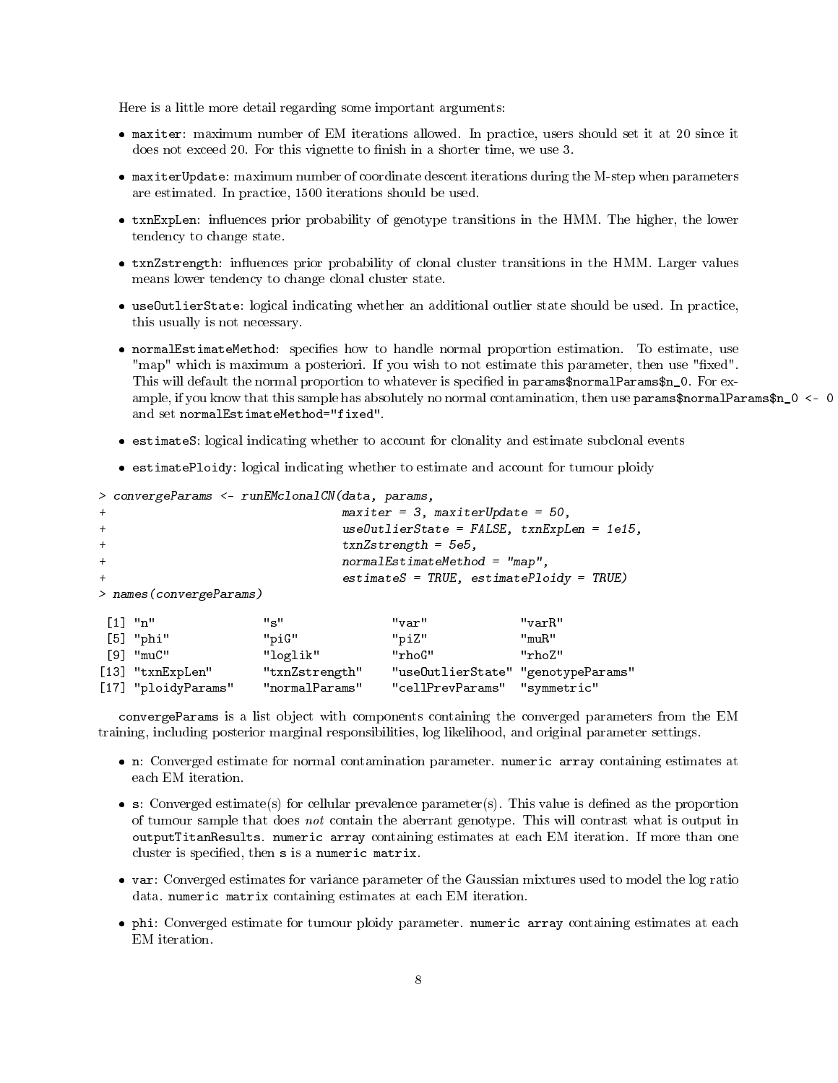Here is a little more detail regarding some important arguments:

- maxiter: maximum number of EM iterations allowed. In practice, users should set it at 20 since it does not exceed 20. For this vignette to finish in a shorter time, we use 3.
- maxiterUpdate: maximum number of coordinate descent iterations during the M-step when parameters are estimated. In practice, 1500 iterations should be used.
- txnExpLen: influences prior probability of genotype transitions in the HMM. The higher, the lower tendency to change state.
- txnZstrength: influences prior probability of clonal cluster transitions in the HMM. Larger values means lower tendency to change clonal cluster state.
- useOutlierState: logical indicating whether an additional outlier state should be used. In practice, this usually is not necessary.
- normalEstimateMethod: specifies how to handle normal proportion estimation. To estimate, use "map" which is maximum a posteriori. If you wish to not estimate this parameter, then use "fixed". This will default the normal proportion to whatever is specified in params\$normalParams\$n\_0. For example, if you know that this sample has absolutely no normal contamination, then use params\$normalParams\$n\_0 <- 0 and set normalEstimateMethod="fixed".
- estimateS: logical indicating whether to account for clonality and estimate subclonal events
- estimatePloidy: logical indicating whether to estimate and account for tumour ploidy

```
> convergeParams <- runEMclonalCN(data, params,
+ maxiter = 3, maxiterUpdate = 50,
+ useOutlierState = FALSE, txnExpLen = 1e15,
+ txnZstrength = 5e5,
+ normalEstimateMethod = "map",
+ estimateS = TRUE, estimatePloidy = TRUE)
> names(convergeParams)
[1] "n" "s" "var" "varR"
[5] "phi" "piG" "piZ" "muR"<br>[9] "muC" "loglik" "rhoG" "rhoZ" "rhoZ"
               "loglik" "rhoG" "rhoZ"
[13] "txnExpLen" "txnZstrength" "useOutlierState" "genotypeParams"
[17] "ploidyParams" "normalParams" "cellPrevParams" "symmetric"
```
convergeParams is a list object with components containing the converged parameters from the EM training, including posterior marginal responsibilities, log likelihood, and original parameter settings.

- n: Converged estimate for normal contamination parameter. numeric array containing estimates at each EM iteration.
- $\bullet$  s: Converged estimate(s) for cellular prevalence parameter(s). This value is defined as the proportion of tumour sample that does not contain the aberrant genotype. This will contrast what is output in outputTitanResults. numeric array containing estimates at each EM iteration. If more than one cluster is specified, then s is a numeric matrix.
- var: Converged estimates for variance parameter of the Gaussian mixtures used to model the log ratio data. numeric matrix containing estimates at each EM iteration.
- phi: Converged estimate for tumour ploidy parameter. numeric array containing estimates at each EM iteration.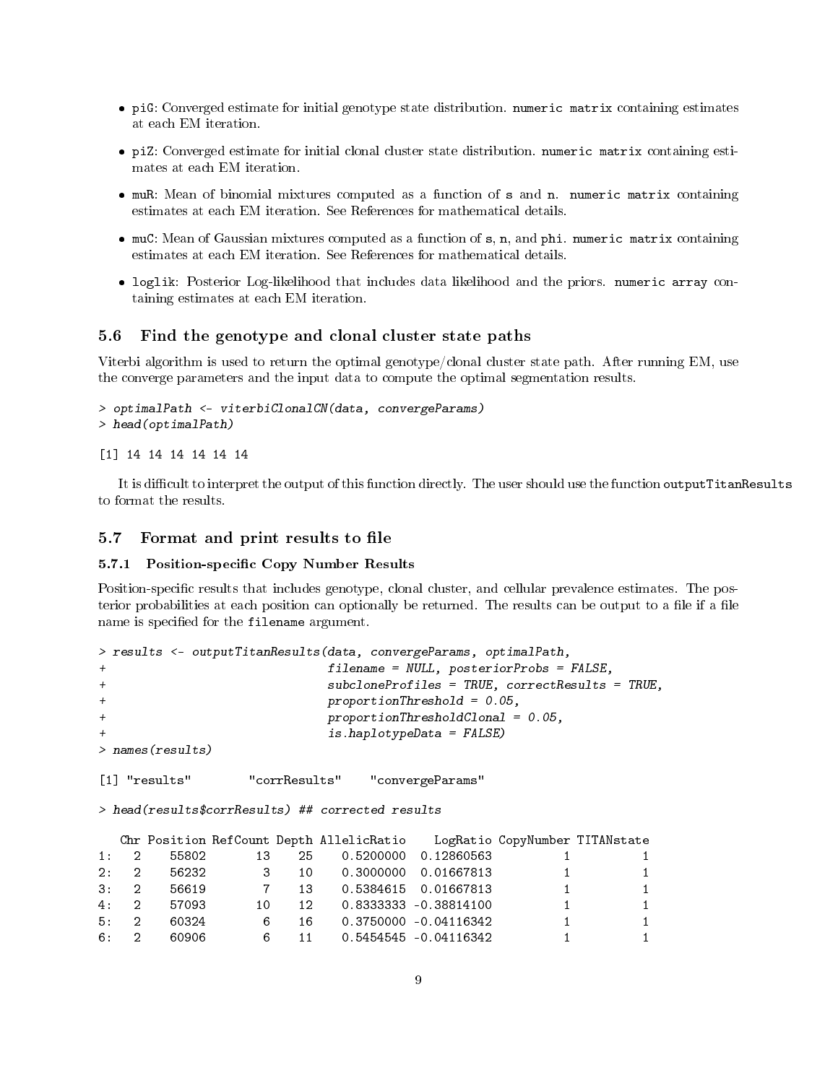- piG: Converged estimate for initial genotype state distribution. numeric matrix containing estimates at each EM iteration.
- piZ: Converged estimate for initial clonal cluster state distribution. numeric matrix containing estimates at each EM iteration.
- muR: Mean of binomial mixtures computed as a function of s and n. numeric matrix containing estimates at each EM iteration. See References for mathematical details.
- muC: Mean of Gaussian mixtures computed as a function of s, n, and phi. numeric matrix containing estimates at each EM iteration. See References for mathematical details.
- loglik: Posterior Log-likelihood that includes data likelihood and the priors. numeric array containing estimates at each EM iteration.

#### 5.6 Find the genotype and clonal cluster state paths

Viterbi algorithm is used to return the optimal genotype/clonal cluster state path. After running EM, use the converge parameters and the input data to compute the optimal segmentation results.

```
> optimalPath <- viterbiClonalCN(data, convergeParams)
> head(optimalPath)
```

```
[1] 14 14 14 14 14 14
```
It is difficult to interpret the output of this function directly. The user should use the function outputTitanResults to format the results.

#### 5.7 Format and print results to file

#### 5.7.1 Position-specific Copy Number Results

Position-specific results that includes genotype, clonal cluster, and cellular prevalence estimates. The posterior probabilities at each position can optionally be returned. The results can be output to a file if a file name is specified for the filename argument.

```
> results <- outputTitanResults(data, convergeParams, optimalPath,
+ filename = NULL, posteriorProbs = FALSE,
+ subcloneProfiles = TRUE, correctResults = TRUE,
+ proportionThreshold = 0.05,
+ proportionThresholdClonal = 0.05,
                     is.haplotypeData = FALSE)> names(results)
[1] "results" "corrResults" "convergeParams"
> head(results$corrResults) ## corrected results
  Chr Position RefCount Depth AllelicRatio LogRatio CopyNumber TITANstate
1: 2 55802 13 25 0.5200000 0.12860563 1 1
2: 2 56232 3 10 0.3000000 0.01667813 1 1
3: 2 56619 7 13 0.5384615 0.01667813 1 1
4: 2 57093 10 12 0.8333333 -0.38814100 1 1
5: 2 60324 6 16 0.3750000 -0.04116342 1 1
6: 2 60906 6 11 0.5454545 -0.04116342 1 1
```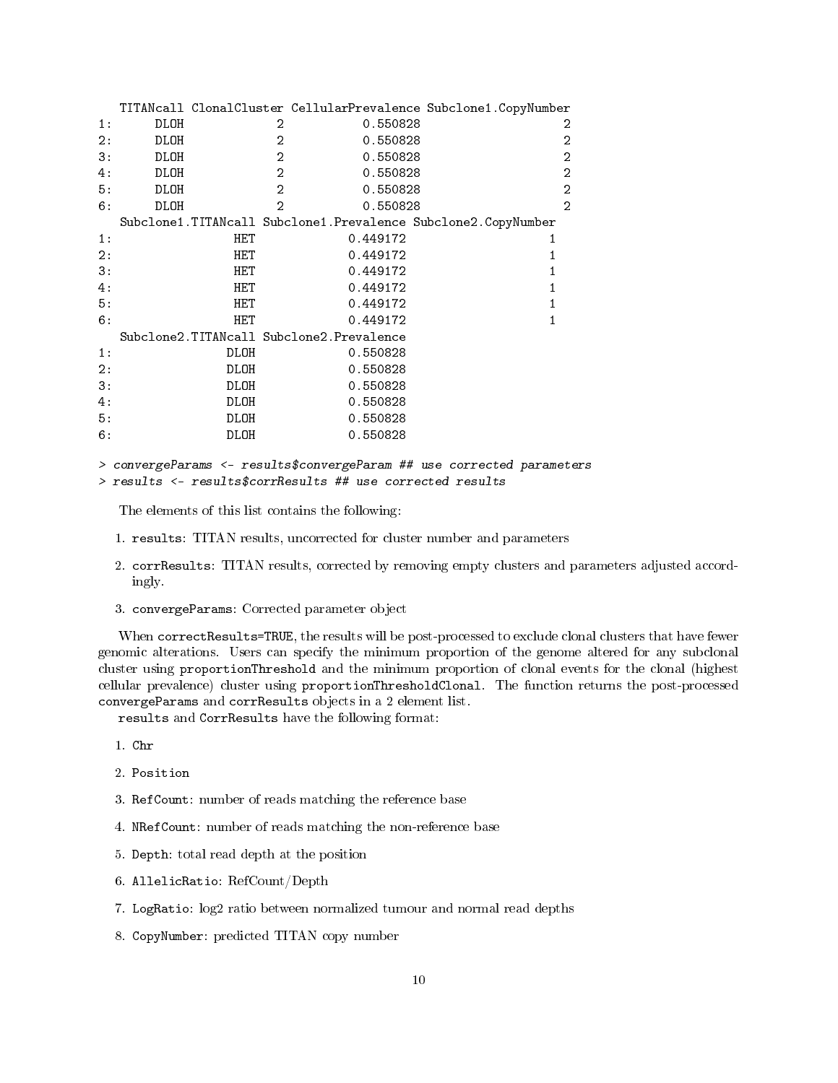|     |      |            |                |                                          | TITANcall ClonalCluster CellularPrevalence Subclone1.CopyNumber |
|-----|------|------------|----------------|------------------------------------------|-----------------------------------------------------------------|
| 1:  | DLOH |            | 2              | 0.550828                                 | 2                                                               |
| 2:  | DLOH |            | $\overline{2}$ | 0.550828                                 | $\overline{2}$                                                  |
| 3:  | DLOH |            | $\overline{2}$ | 0.550828                                 | $\overline{2}$                                                  |
| 4:  | DLOH |            | $\overline{2}$ | 0.550828                                 | $\overline{2}$                                                  |
| 5 : | DLOH |            | $\overline{2}$ | 0.550828                                 | $\overline{2}$                                                  |
| 6:  | DLOH |            | $\mathcal{D}$  | 0.550828                                 | $\overline{2}$                                                  |
|     |      |            |                |                                          | Subclone1.TITANcall Subclone1.Prevalence Subclone2.CopyNumber   |
| 1:  |      | HET        |                | 0.449172                                 |                                                                 |
| 2:  |      | HET        |                | 0.449172                                 |                                                                 |
| 3:  |      | HET        |                | 0.449172                                 |                                                                 |
| 4:  |      | <b>HET</b> |                | 0.449172                                 |                                                                 |
| 5:  |      | HET        |                | 0.449172                                 |                                                                 |
| 6:  |      | HET        |                | 0.449172                                 |                                                                 |
|     |      |            |                | Subclone2.TITANcall Subclone2.Prevalence |                                                                 |
| 1:  |      | DLOH       |                | 0.550828                                 |                                                                 |
| 2:  |      | DLOH       |                | 0.550828                                 |                                                                 |
| 3:  |      | DLOH       |                | 0.550828                                 |                                                                 |
| 4:  |      | DLOH       |                | 0.550828                                 |                                                                 |
| 5:  |      | DLOH       |                | 0.550828                                 |                                                                 |
| 6:  |      | DLOH       |                | 0.550828                                 |                                                                 |
|     |      |            |                |                                          |                                                                 |

#### > convergeParams <- results\$convergeParam ## use corrected parameters > results <- results\$corrResults ## use corrected results

The elements of this list contains the following:

- 1. results: TITAN results, uncorrected for cluster number and parameters
- 2. corrResults: TITAN results, corrected by removing empty clusters and parameters adjusted accordingly.
- 3. convergeParams: Corrected parameter object

When correctResults=TRUE, the results will be post-processed to exclude clonal clusters that have fewer genomic alterations. Users can specify the minimum proportion of the genome altered for any subclonal cluster using proportionThreshold and the minimum proportion of clonal events for the clonal (highest cellular prevalence) cluster using proportionThresholdClonal. The function returns the post-processed convergeParams and corrResults objects in a 2 element list.

results and CorrResults have the following format:

- 1. Chr
- 2. Position
- 3. RefCount: number of reads matching the reference base
- 4. NRefCount: number of reads matching the non-reference base
- 5. Depth: total read depth at the position
- 6. AllelicRatio: RefCount/Depth
- 7. LogRatio: log2 ratio between normalized tumour and normal read depths
- 8. CopyNumber: predicted TITAN copy number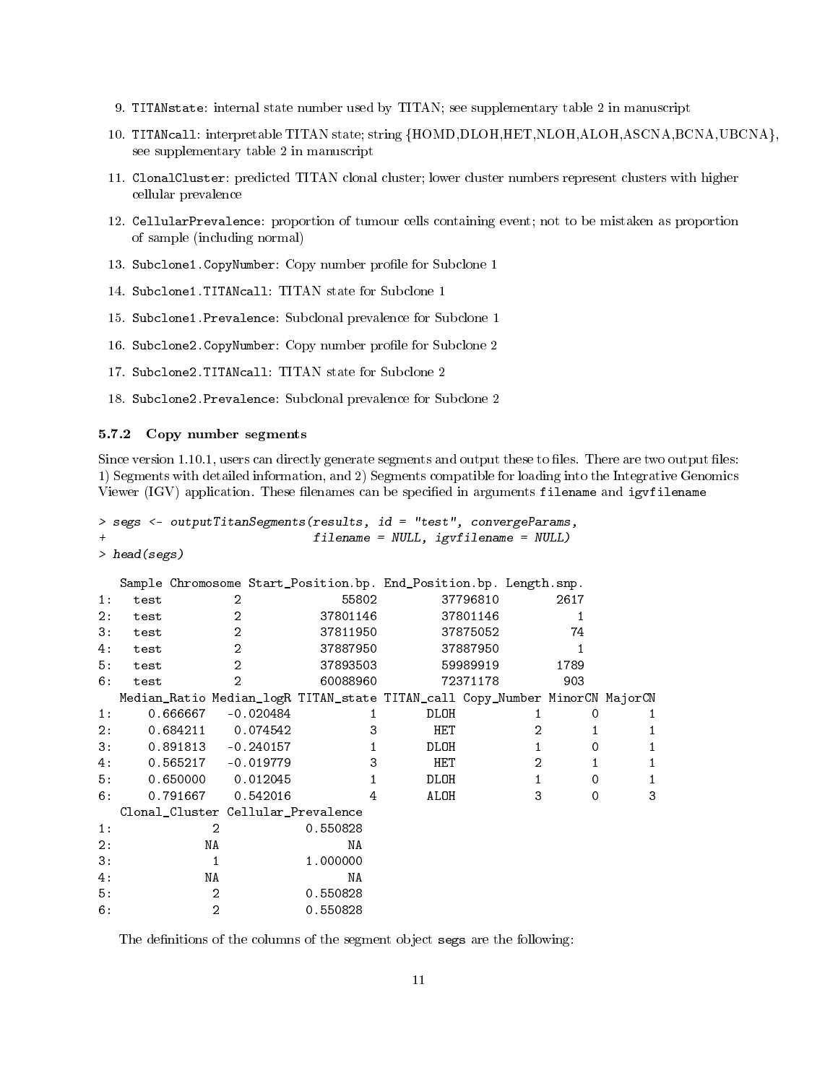- 9. TITANstate: internal state number used by TITAN; see supplementary table 2 in manuscript
- 10. TITANcall: interpretable TITAN state; string {HOMD,DLOH,HET,NLOH,ALOH,ASCNA,BCNA,UBCNA}, see supplementary table 2 in manuscript
- 11. ClonalCluster: predicted TITAN clonal cluster; lower cluster numbers represent clusters with higher cellular prevalence
- 12. CellularPrevalence: proportion of tumour cells containing event; not to be mistaken as proportion of sample (including normal)
- 13. Subclone1. CopyNumber: Copy number profile for Subclone 1
- 14. Subclone1.TITANcall: TITAN state for Subclone 1
- 15. Subclone1.Prevalence: Subclonal prevalence for Subclone 1
- 16. Subclone2. CopyNumber: Copy number profile for Subclone 2
- 17. Subclone2.TITANcall: TITAN state for Subclone 2
- 18. Subclone2.Prevalence: Subclonal prevalence for Subclone 2

#### 5.7.2 Copy number segments

Since version 1.10.1, users can directly generate segments and output these to files. There are two output files: 1) Segments with detailed information, and 2) Segments compatible for loading into the Integrative Genomics Viewer (IGV) application. These filenames can be specified in arguments filename and igvfilename

```
> segs <- outputTitanSegments(results, id = "test", convergeParams,
                                filename = NULL, <i>igvf</i>ilename = NULL)
```

```
> head(segs)
```

|     |      |                                    |                | Sample Chromosome Start_Position.bp. End_Position.bp. Length.snp.           |            |          |                |         |              |
|-----|------|------------------------------------|----------------|-----------------------------------------------------------------------------|------------|----------|----------------|---------|--------------|
| 1:  | test | 2                                  |                | 55802                                                                       |            | 37796810 |                | 2617    |              |
| 2:  | test | $\overline{2}$                     |                | 37801146                                                                    |            | 37801146 |                |         |              |
| 3:  | test | $\overline{a}$                     |                | 37811950                                                                    |            | 37875052 |                | 74      |              |
| 4 : | test |                                    | $\overline{2}$ | 37887950                                                                    |            | 37887950 |                |         |              |
| 5 : | test |                                    | $\overline{2}$ | 37893503                                                                    |            | 59989919 |                | 1789    |              |
| 6:  | test | $\overline{2}$                     |                | 60088960                                                                    |            | 72371178 |                | 903     |              |
|     |      |                                    |                | Median_Ratio Median_logR TITAN_state TITAN_call Copy_Number MinorCN MajorCN |            |          |                |         |              |
| 1:  |      | 0.666667                           | $-0.020484$    |                                                                             | DLOH       |          |                | 0       |              |
| 2:  |      | 0.684211                           | 0.074542       | 3                                                                           | HET        |          | $\overline{2}$ |         |              |
| 3:  |      | $0.891813 - 0.240157$              |                |                                                                             | DLOH       |          | $\mathbf{1}$   | 0       |              |
| 4 : |      | 0.565217                           | -0.019779      | 3                                                                           | <b>HET</b> |          | $\overline{2}$ |         | 1            |
| 5 : |      | 0.650000                           | 0.012045       |                                                                             | DLOH       |          | $\mathbf{1}$   | $\circ$ | $\mathbf{1}$ |
| 6:  |      | 0.791667                           | 0.542016       | 4                                                                           | ALOH       |          | 3              | 0       | 3            |
|     |      | Clonal_Cluster Cellular_Prevalence |                |                                                                             |            |          |                |         |              |
| 1:  |      | 2                                  |                | 0.550828                                                                    |            |          |                |         |              |
| 2:  |      | ΝA                                 |                | NA                                                                          |            |          |                |         |              |
| 3:  |      | $\mathbf{1}$                       |                | 1.000000                                                                    |            |          |                |         |              |
| 4 : |      | ΝA                                 |                | ΝA                                                                          |            |          |                |         |              |
| 5 : |      | $\overline{2}$                     |                | 0.550828                                                                    |            |          |                |         |              |
| 6:  |      | $\overline{2}$                     |                | 0.550828                                                                    |            |          |                |         |              |

The definitions of the columns of the segment object segs are the following: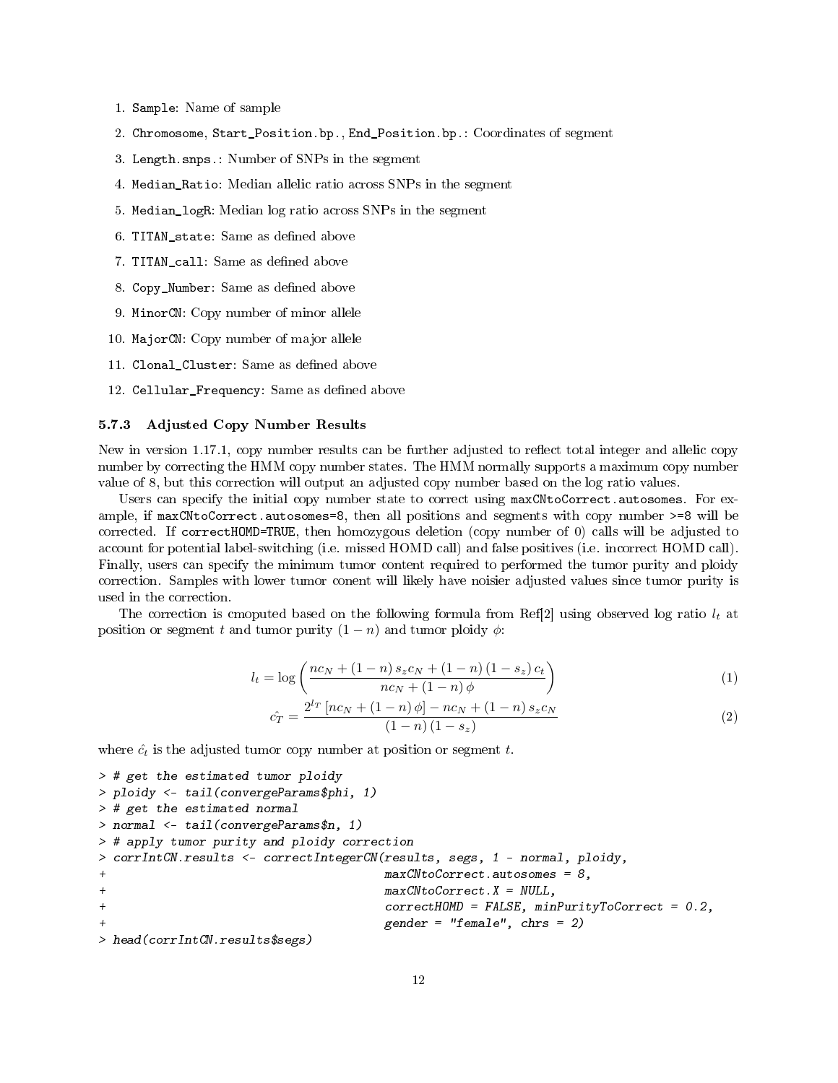- 1. Sample: Name of sample
- 2. Chromosome, Start\_Position.bp., End\_Position.bp.: Coordinates of segment
- 3. Length.snps.: Number of SNPs in the segment
- 4. Median\_Ratio: Median allelic ratio across SNPs in the segment
- 5. Median\_logR: Median log ratio across SNPs in the segment
- 6. TITAN\_state: Same as defined above
- 7. TITAN\_call: Same as defined above
- 8. Copy\_Number: Same as defined above
- 9. MinorCN: Copy number of minor allele
- 10. MajorCN: Copy number of major allele
- 11. Clonal\_Cluster: Same as defined above
- 12. Cellular\_Frequency: Same as defined above

#### 5.7.3 Adjusted Copy Number Results

New in version 1.17.1, copy number results can be further adjusted to reflect total integer and allelic copy number by correcting the HMM copy number states. The HMM normally supports a maximum copy number value of 8, but this correction will output an adjusted copy number based on the log ratio values.

Users can specify the initial copy number state to correct using maxCNtoCorrect.autosomes. For example, if maxCNtoCorrect.autosomes=8, then all positions and segments with copy number >=8 will be corrected. If correctHOMD=TRUE, then homozygous deletion (copy number of 0) calls will be adjusted to account for potential label-switching (i.e. missed HOMD call) and false positives (i.e. incorrect HOMD call). Finally, users can specify the minimum tumor content required to performed the tumor purity and ploidy correction. Samples with lower tumor conent will likely have noisier adjusted values since tumor purity is used in the correction.

The correction is cmoputed based on the following formula from Ref[2] using observed log ratio  $l_t$  at position or segment t and tumor purity  $(1 - n)$  and tumor ploidy  $\phi$ :

$$
l_{t} = \log \left( \frac{nc_{N} + (1 - n) s_{z} c_{N} + (1 - n) (1 - s_{z}) c_{t}}{nc_{N} + (1 - n) \phi} \right)
$$
 (1)

$$
\hat{c_T} = \frac{2^{l_T} \left[ nc_N + (1 - n) \phi \right] - nc_N + (1 - n) s_z c_N}{(1 - n) (1 - s_z)} \tag{2}
$$

where  $\hat{c}_t$  is the adjusted tumor copy number at position or segment t.

```
> # get the estimated tumor ploidy
> ploidy <- tail(convergeParams$phi, 1)
> # get the estimated normal
> normal <- tail(convergeParams$n, 1)
> # apply tumor purity and ploidy correction
> corrIntCN.results <- correctIntegerCN(results, segs, 1 - normal, ploidy,
+ maxCNtoCorrect.autosomes = 8,
+ maxCNtoCorrect.X = NULL,
+ correctHOMD = FALSE, minPurityToCorrect = 0.2,
                                gender = "female", chrs = 2)> head(corrIntCN.results$segs)
```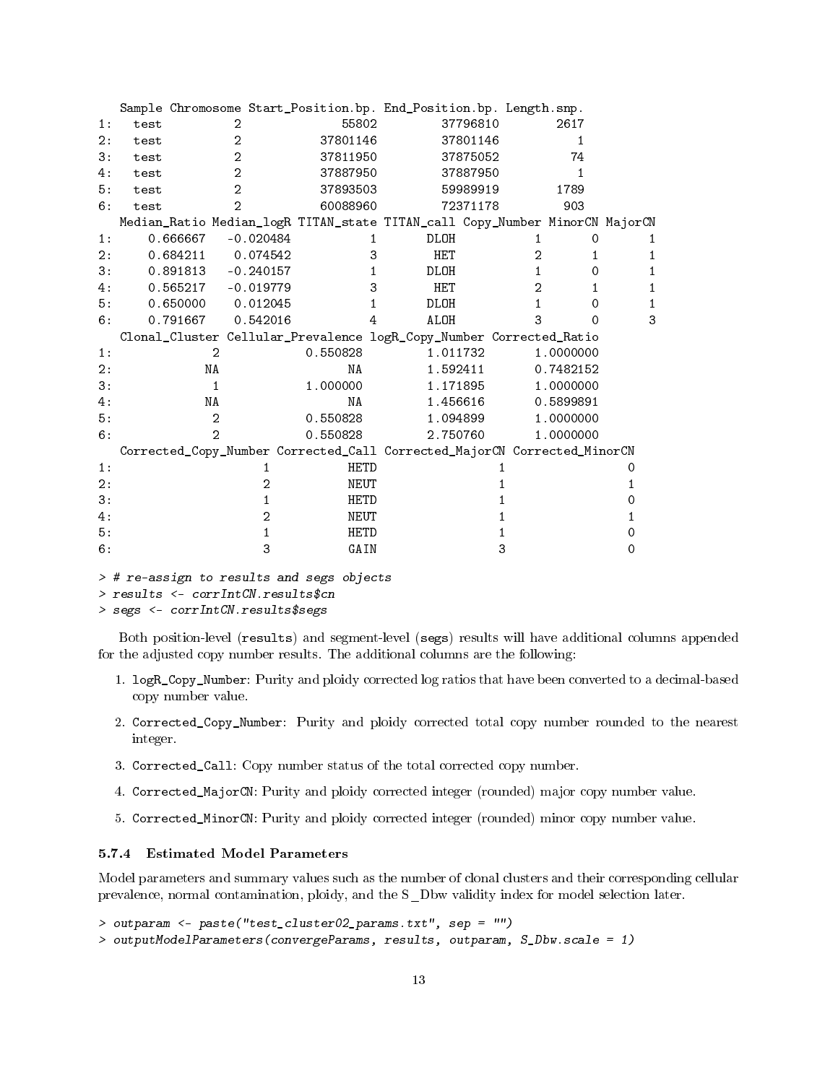|    |      |                |                | Sample Chromosome Start_Position.bp. End_Position.bp. Length.snp.           |             |          |                |              |          |
|----|------|----------------|----------------|-----------------------------------------------------------------------------|-------------|----------|----------------|--------------|----------|
| 1: | test | $\overline{2}$ |                | 55802                                                                       |             | 37796810 |                | 2617         |          |
| 2: | test | $\overline{2}$ |                | 37801146                                                                    |             | 37801146 |                | $\mathbf{1}$ |          |
| 3: | test | $\overline{2}$ |                | 37811950                                                                    |             | 37875052 |                | 74           |          |
| 4: | test | $\overline{2}$ |                | 37887950                                                                    |             | 37887950 |                | 1            |          |
| 5: | test | $\overline{2}$ |                | 37893503                                                                    |             | 59989919 |                | 1789         |          |
| 6: | test | $\overline{2}$ |                | 60088960                                                                    |             | 72371178 |                | 903          |          |
|    |      |                |                | Median_Ratio Median_logR TITAN_state TITAN_call Copy_Number MinorCN MajorCN |             |          |                |              |          |
| 1: |      | 0.666667       | $-0.020484$    | $\mathbf{1}$                                                                | <b>DLOH</b> |          |                | $\Omega$     |          |
| 2: |      | 0.684211       | 0.074542       | 3                                                                           | HET         |          | $\overline{2}$ | 1            | 1        |
| 3: |      | 0.891813       | $-0.240157$    | 1                                                                           | DLOH        |          | $\mathbf{1}$   | 0            | 1        |
| 4: |      | 0.565217       | $-0.019779$    | 3                                                                           | <b>HET</b>  |          | $\overline{2}$ | 1            | 1        |
| 5: |      | 0.650000       | 0.012045       | $\mathbf{1}$                                                                | <b>DLOH</b> |          | $\mathbf{1}$   | $\Omega$     |          |
| 6: |      | 0.791667       | 0.542016       | 4                                                                           | <b>ALOH</b> |          | 3              | 0            | 3        |
|    |      |                |                | Clonal_Cluster Cellular_Prevalence logR_Copy_Number Corrected_Ratio         |             |          |                |              |          |
| 1: |      | $\overline{2}$ |                | 0.550828                                                                    | 1.011732    |          |                | 1,0000000    |          |
| 2: |      | NA             |                | NA                                                                          | 1.592411    |          |                | 0.7482152    |          |
| 3: |      | $\mathbf{1}$   |                | 1.000000                                                                    | 1.171895    |          |                | 1.0000000    |          |
| 4: |      | NA             |                | ΝA                                                                          | 1.456616    |          |                | 0.5899891    |          |
| 5: |      | $\overline{2}$ |                | 0.550828                                                                    | 1.094899    |          |                | 1.0000000    |          |
| 6: |      | $\overline{2}$ |                | 0.550828                                                                    | 2.750760    |          |                | 1,0000000    |          |
|    |      |                |                | Corrected_Copy_Number Corrected_Call Corrected_MajorCN Corrected_MinorCN    |             |          |                |              |          |
| 1: |      |                | 1              | HETD                                                                        |             |          |                |              | $\Omega$ |
| 2: |      |                | 2              | NEUT                                                                        |             |          |                |              | 1        |
| 3: |      |                | 1              | HETD                                                                        |             |          |                |              | 0        |
| 4: |      |                | $\overline{2}$ | NEUT                                                                        |             |          |                |              | 1        |
| 5: |      |                | 1              | HETD                                                                        |             | 1        |                |              | $\circ$  |
| 6: |      |                | 3              | GAIN                                                                        |             | 3        |                |              | 0        |
|    |      |                |                | > # re-assign to results and segs objects                                   |             |          |                |              |          |

> results <- corrIntCN.results\$cn

```
> segs <- corrIntCN.results$segs
```
Both position-level (results) and segment-level (segs) results will have additional columns appended for the adjusted copy number results. The additional columns are the following:

- 1. logR\_Copy\_Number: Purity and ploidy corrected log ratios that have been converted to a decimal-based copy number value.
- 2. Corrected\_Copy\_Number: Purity and ploidy corrected total copy number rounded to the nearest integer.
- 3. Corrected\_Call: Copy number status of the total corrected copy number.
- 4. Corrected\_MajorCN: Purity and ploidy corrected integer (rounded) major copy number value.
- 5. Corrected\_MinorCN: Purity and ploidy corrected integer (rounded) minor copy number value.

#### 5.7.4 Estimated Model Parameters

Model parameters and summary values such as the number of clonal clusters and their corresponding cellular prevalence, normal contamination, ploidy, and the S\_Dbw validity index for model selection later.

```
> outparam <- paste("test_cluster02_params.txt", sep = "")
```

```
> outputModelParameters(convergeParams, results, outparam, S_Dbw.scale = 1)
```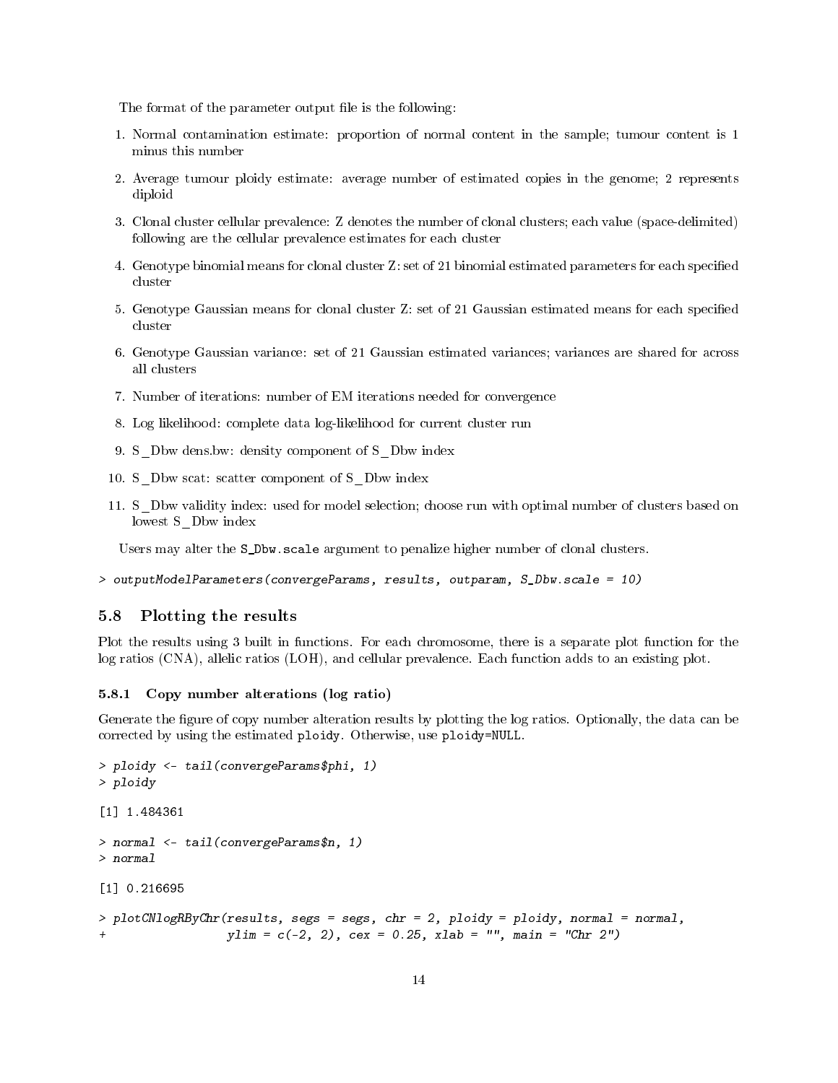The format of the parameter output file is the following:

- 1. Normal contamination estimate: proportion of normal content in the sample; tumour content is 1 minus this number
- 2. Average tumour ploidy estimate: average number of estimated copies in the genome; 2 represents diploid
- 3. Clonal cluster cellular prevalence: Z denotes the number of clonal clusters; each value (space-delimited) following are the cellular prevalence estimates for each cluster
- 4. Genotype binomial means for clonal cluster Z: set of 21 binomial estimated parameters for each specied cluster
- 5. Genotype Gaussian means for clonal cluster Z: set of 21 Gaussian estimated means for each specified cluster
- 6. Genotype Gaussian variance: set of 21 Gaussian estimated variances; variances are shared for across all clusters
- 7. Number of iterations: number of EM iterations needed for convergence
- 8. Log likelihood: complete data log-likelihood for current cluster run
- 9. S\_Dbw dens.bw: density component of S\_Dbw index
- 10. S Dbw scat: scatter component of S Dbw index
- 11. S\_Dbw validity index: used for model selection; choose run with optimal number of clusters based on lowest S\_Dbw index

Users may alter the S\_Dbw.scale argument to penalize higher number of clonal clusters.

```
> outputModelParameters(convergeParams, results, outparam, S_Dbw.scale = 10)
```
### 5.8 Plotting the results

Plot the results using 3 built in functions. For each chromosome, there is a separate plot function for the log ratios (CNA), allelic ratios (LOH), and cellular prevalence. Each function adds to an existing plot.

#### 5.8.1 Copy number alterations (log ratio)

Generate the figure of copy number alteration results by plotting the log ratios. Optionally, the data can be corrected by using the estimated ploidy. Otherwise, use ploidy=NULL.

```
> ploidy <- tail(convergeParams$phi, 1)
> ploidy
[1] 1.484361
> normal <- tail(convergeParams$n, 1)
> normal
[1] 0.216695
> plotCNlogRByChr(results, segs = segs, chr = 2, ploidy = ploidy, normal = normal,
                  vlim = c(-2, 2), cex = 0.25, xlab = "", main = "Chr 2")
```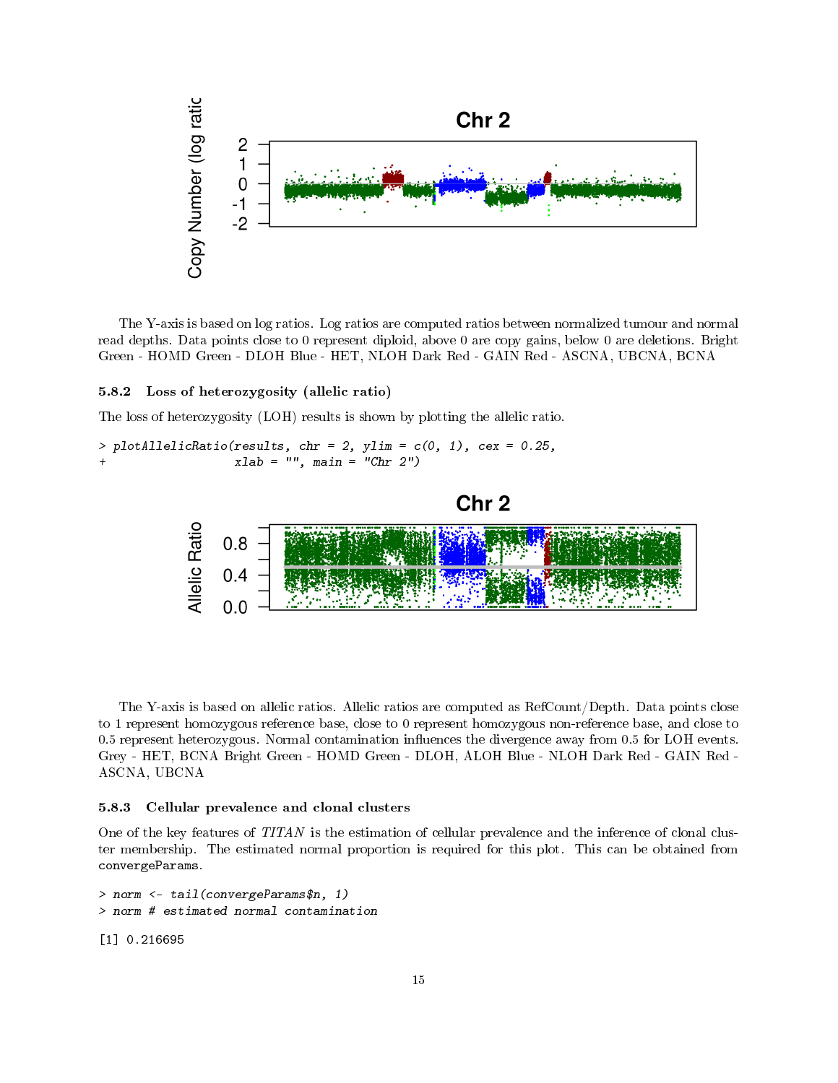

The Y-axis is based on log ratios. Log ratios are computed ratios between normalized tumour and normal read depths. Data points close to 0 represent diploid, above 0 are copy gains, below 0 are deletions. Bright Green - HOMD Green - DLOH Blue - HET, NLOH Dark Red - GAIN Red - ASCNA, UBCNA, BCNA

#### 5.8.2 Loss of heterozygosity (allelic ratio)

The loss of heterozygosity (LOH) results is shown by plotting the allelic ratio.

> plotAllelicRatio(results, chr = 2, ylim =  $c(0, 1)$ , cex = 0.25, + xlab = "", main = "Chr 2")





The Y-axis is based on allelic ratios. Allelic ratios are computed as RefCount/Depth. Data points close to 1 represent homozygous reference base, close to 0 represent homozygous non-reference base, and close to 0.5 represent heterozygous. Normal contamination influences the divergence away from 0.5 for LOH events. Grey - HET, BCNA Bright Green - HOMD Green - DLOH, ALOH Blue - NLOH Dark Red - GAIN Red - ASCNA, UBCNA

#### 5.8.3 Cellular prevalence and clonal clusters

One of the key features of TITAN is the estimation of cellular prevalence and the inference of clonal cluster membership. The estimated normal proportion is required for this plot. This can be obtained from convergeParams.

```
> norm <- tail(convergeParams$n, 1)
> norm # estimated normal contamination
```
[1] 0.216695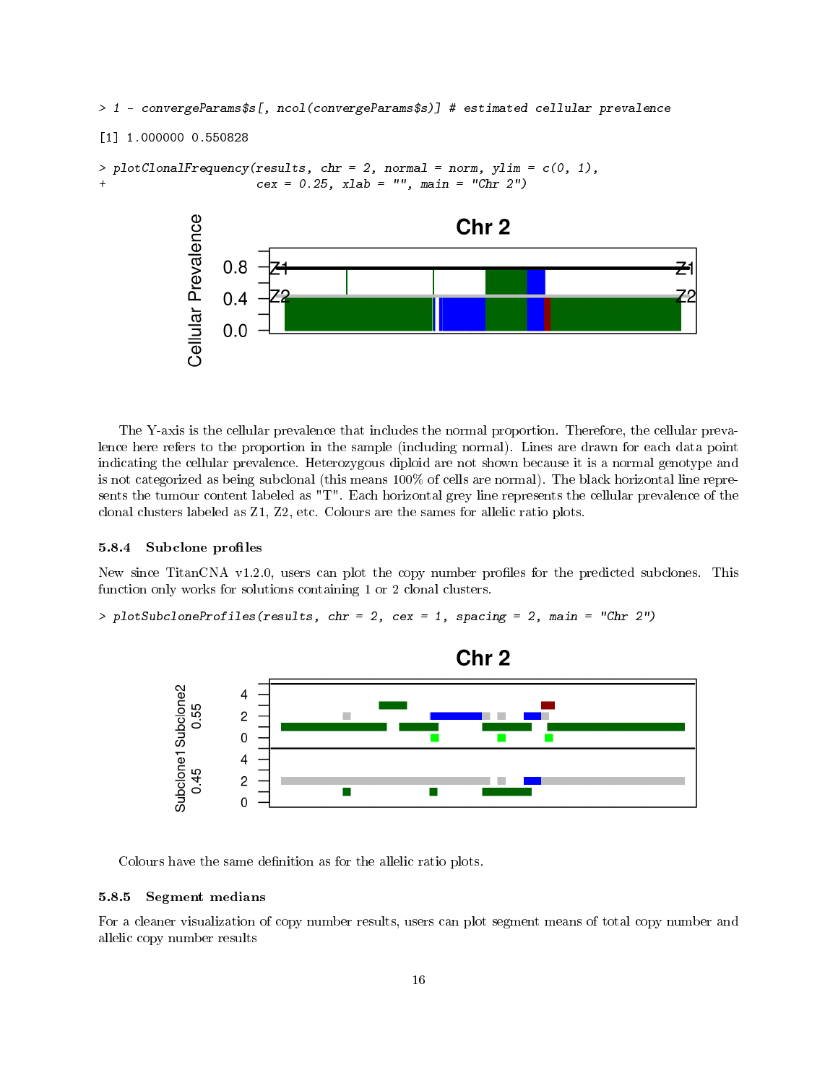> 1 - convergeParams\$s[, ncol(convergeParams\$s)] # estimated cellular prevalence

```
[1] 1.000000 0.550828
```

```
> plotCl onalFrequency(results, chr = 2, normal = norm, ylim = c(0, 1),cex = 0.25, xlab = "", main = "Chr 2")
```


The Y-axis is the cellular prevalence that includes the normal proportion. Therefore, the cellular prevalence here refers to the proportion in the sample (including normal). Lines are drawn for each data point indicating the cellular prevalence. Heterozygous diploid are not shown because it is a normal genotype and is not categorized as being subclonal (this means 100% of cells are normal). The black horizontal line represents the tumour content labeled as "T". Each horizontal grey line represents the cellular prevalence of the clonal clusters labeled as Z1, Z2, etc. Colours are the sames for allelic ratio plots.

#### 5.8.4 Subclone profiles

New since TitanCNA v1.2.0, users can plot the copy number profiles for the predicted subclones. This function only works for solutions containing 1 or 2 clonal clusters.

```
> plotSubcloneProfiles(results, chr = 2, cex = 1, spacing = 2, main = "Chr 2")
```


Colours have the same definition as for the allelic ratio plots.

#### 5.8.5 Segment medians

For a cleaner visualization of copy number results, users can plot segment means of total copy number and allelic copy number results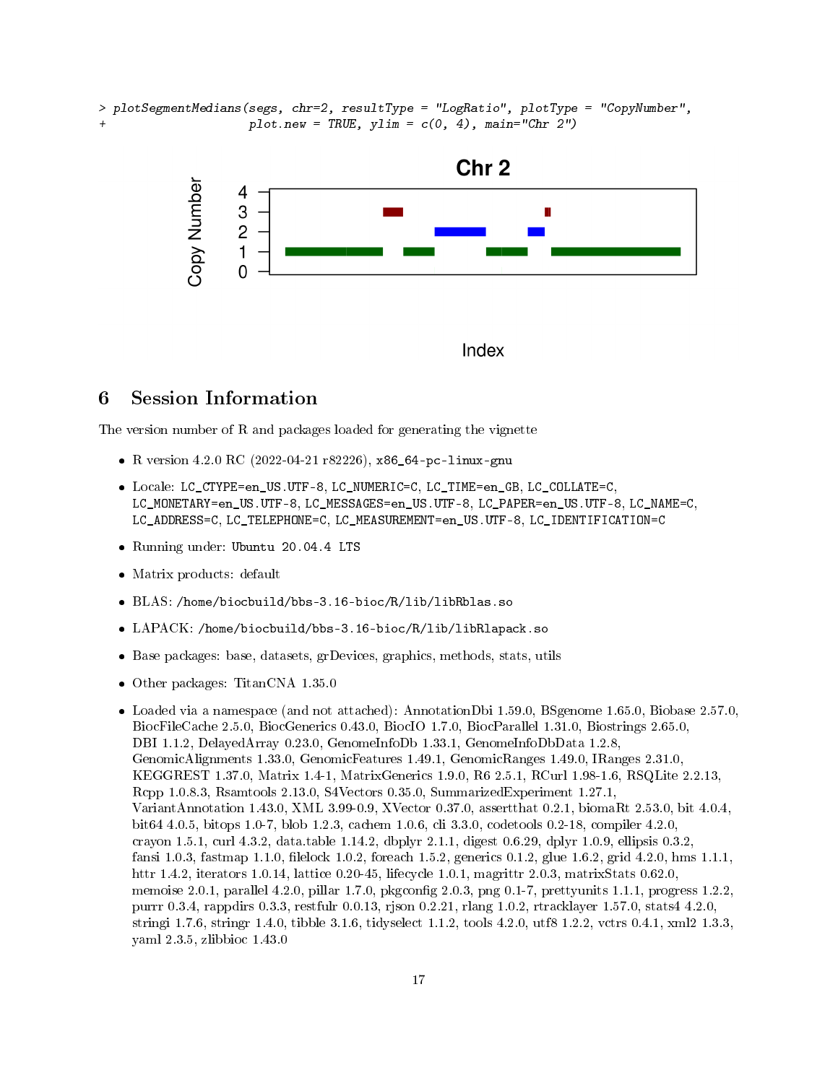> plotSegmentMedians(segs, chr=2, resultType = "LogRatio", plotType = "CopyNumber",  $plot.new = TRUE, ylim = c(0, 4), main="Chr 2")$ 





# 6 Session Information

The version number of R and packages loaded for generating the vignette

- R version 4.2.0 RC (2022-04-21 r82226), x86\_64-pc-linux-gnu
- Locale: LC\_CTYPE=en\_US.UTF-8, LC\_NUMERIC=C, LC\_TIME=en\_GB, LC\_COLLATE=C, LC\_MONETARY=en\_US.UTF-8, LC\_MESSAGES=en\_US.UTF-8, LC\_PAPER=en\_US.UTF-8, LC\_NAME=C, LC\_ADDRESS=C, LC\_TELEPHONE=C, LC\_MEASUREMENT=en\_US.UTF-8, LC\_IDENTIFICATION=C
- Running under: Ubuntu 20.04.4 LTS
- Matrix products: default
- BLAS: /home/biocbuild/bbs-3.16-bioc/R/lib/libRblas.so
- LAPACK: /home/biocbuild/bbs-3.16-bioc/R/lib/libRlapack.so
- Base packages: base, datasets, grDevices, graphics, methods, stats, utils
- Other packages: TitanCNA 1.35.0

Loaded via a namespace (and not attached): AnnotationDbi 1.59.0, BSgenome 1.65.0, Biobase 2.57.0, BiocFileCache 2.5.0, BiocGenerics 0.43.0, BiocIO 1.7.0, BiocParallel 1.31.0, Biostrings 2.65.0, DBI 1.1.2, DelayedArray 0.23.0, GenomeInfoDb 1.33.1, GenomeInfoDbData 1.2.8, GenomicAlignments 1.33.0, GenomicFeatures 1.49.1, GenomicRanges 1.49.0, IRanges 2.31.0, KEGGREST 1.37.0, Matrix 1.4-1, MatrixGenerics 1.9.0, R6 2.5.1, RCurl 1.98-1.6, RSQLite 2.2.13, Rcpp 1.0.8.3, Rsamtools 2.13.0, S4Vectors 0.35.0, SummarizedExperiment 1.27.1, VariantAnnotation 1.43.0, XML 3.99-0.9, XVector 0.37.0, assertthat 0.2.1, biomaRt 2.53.0, bit 4.0.4, bit64 4.0.5, bitops 1.0-7, blob 1.2.3, cachem 1.0.6, cli 3.3.0, codetools 0.2-18, compiler 4.2.0, crayon 1.5.1, curl 4.3.2, data.table 1.14.2, dbplyr 2.1.1, digest 0.6.29, dplyr 1.0.9, ellipsis 0.3.2, fansi 1.0.3, fastmap 1.1.0, filelock 1.0.2, foreach 1.5.2, generics 0.1.2, glue 1.6.2, grid 4.2.0, hms 1.1.1, httr 1.4.2, iterators 1.0.14, lattice 0.20-45, lifecycle 1.0.1, magrittr 2.0.3, matrixStats 0.62.0, memoise 2.0.1, parallel 4.2.0, pillar 1.7.0, pkgconfig 2.0.3, png 0.1-7, prettyunits 1.1.1, progress 1.2.2, purrr 0.3.4, rappdirs 0.3.3, restfulr 0.0.13, rjson 0.2.21, rlang 1.0.2, rtracklayer 1.57.0, stats4 4.2.0, stringi 1.7.6, stringr 1.4.0, tibble 3.1.6, tidyselect 1.1.2, tools 4.2.0, utf8 1.2.2, vctrs 0.4.1, xml2 1.3.3, yaml 2.3.5, zlibbioc 1.43.0